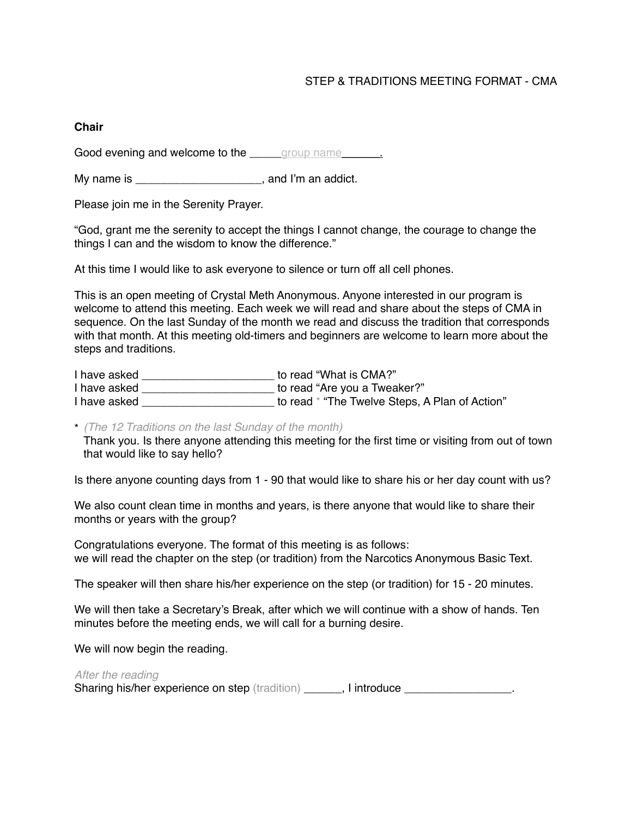# STEP & TRADITIONS MEETING FORMAT - CMA

### **Chair**

Good evening and welcome to the <u>equal proup name</u>

My name is example is the same of the same is the same of the same of the same of the same of the same of the same of the same of the same of the same of the same of the same of the same of the same of the same of the same

Please join me in the Serenity Prayer.

"God, grant me the serenity to accept the things I cannot change, the courage to change the things I can and the wisdom to know the difference."

At this time I would like to ask everyone to silence or turn off all cell phones.

This is an open meeting of Crystal Meth Anonymous. Anyone interested in our program is welcome to attend this meeting. Each week we will read and share about the steps of CMA in sequence. On the last Sunday of the month we read and discuss the tradition that corresponds with that month. At this meeting old-timers and beginners are welcome to learn more about the steps and traditions.

| I have asked | to read "What is CMA?"                         |
|--------------|------------------------------------------------|
| I have asked | to read "Are you a Tweaker?"                   |
| I have asked | to read * "The Twelve Steps, A Plan of Action" |

\* *(The 12 Traditions on the last Sunday of the month)* 

Thank you. Is there anyone attending this meeting for the first time or visiting from out of town that would like to say hello?

Is there anyone counting days from 1 - 90 that would like to share his or her day count with us?

We also count clean time in months and years, is there anyone that would like to share their months or years with the group?

Congratulations everyone. The format of this meeting is as follows: we will read the chapter on the step (or tradition) from the Narcotics Anonymous Basic Text.

The speaker will then share his/her experience on the step (or tradition) for 15 - 20 minutes.

We will then take a Secretary's Break, after which we will continue with a show of hands. Ten minutes before the meeting ends, we will call for a burning desire.

We will now begin the reading.

*After the reading* Sharing his/her experience on step (tradition) \_\_\_\_\_\_, I introduce \_\_\_\_\_\_\_\_\_\_\_\_\_\_\_.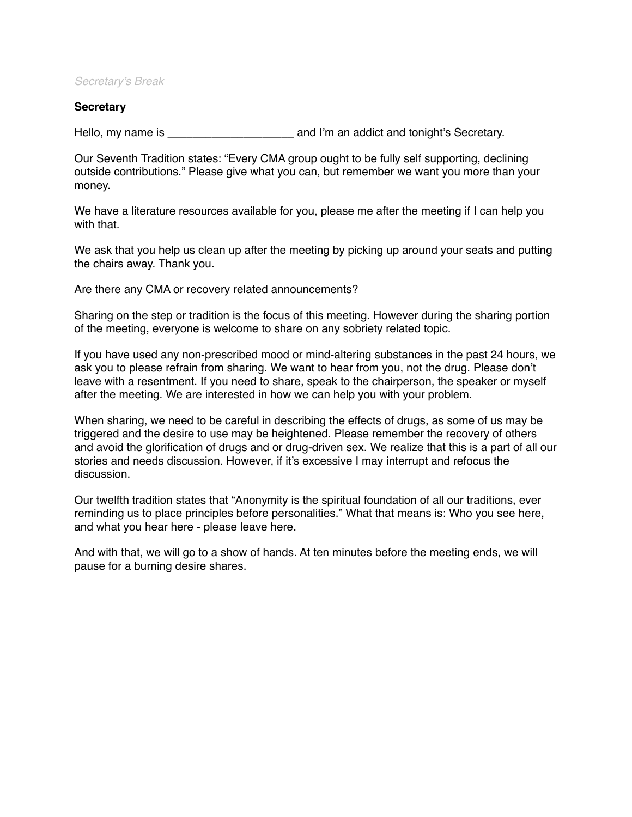### *Secretary's Break*

### **Secretary**

Hello, my name is \_\_\_\_\_\_\_\_\_\_\_\_\_\_\_\_\_\_\_\_ and I'm an addict and tonight's Secretary.

Our Seventh Tradition states: "Every CMA group ought to be fully self supporting, declining outside contributions." Please give what you can, but remember we want you more than your money.

We have a literature resources available for you, please me after the meeting if I can help you with that.

We ask that you help us clean up after the meeting by picking up around your seats and putting the chairs away. Thank you.

Are there any CMA or recovery related announcements?

Sharing on the step or tradition is the focus of this meeting. However during the sharing portion of the meeting, everyone is welcome to share on any sobriety related topic.

If you have used any non-prescribed mood or mind-altering substances in the past 24 hours, we ask you to please refrain from sharing. We want to hear from you, not the drug. Please don't leave with a resentment. If you need to share, speak to the chairperson, the speaker or myself after the meeting. We are interested in how we can help you with your problem.

When sharing, we need to be careful in describing the effects of drugs, as some of us may be triggered and the desire to use may be heightened. Please remember the recovery of others and avoid the glorification of drugs and or drug-driven sex. We realize that this is a part of all our stories and needs discussion. However, if it's excessive I may interrupt and refocus the discussion.

Our twelfth tradition states that "Anonymity is the spiritual foundation of all our traditions, ever reminding us to place principles before personalities." What that means is: Who you see here, and what you hear here - please leave here.

And with that, we will go to a show of hands. At ten minutes before the meeting ends, we will pause for a burning desire shares.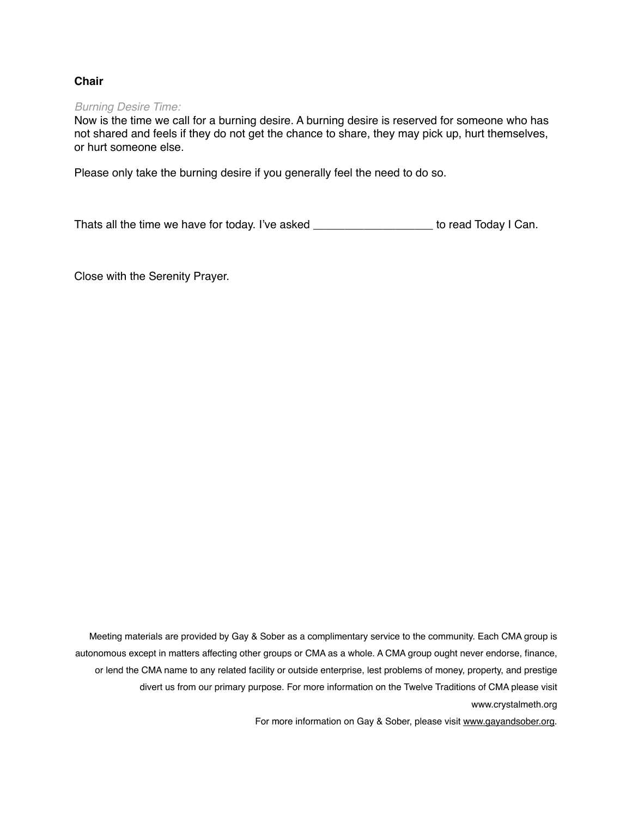# **Chair**

#### *Burning Desire Time:*

Now is the time we call for a burning desire. A burning desire is reserved for someone who has not shared and feels if they do not get the chance to share, they may pick up, hurt themselves, or hurt someone else.

Please only take the burning desire if you generally feel the need to do so.

Thats all the time we have for today. I've asked \_\_\_\_\_\_\_\_\_\_\_\_\_\_\_\_\_\_\_ to read Today I Can.

Close with the Serenity Prayer.

Meeting materials are provided by Gay & Sober as a complimentary service to the community. Each CMA group is autonomous except in matters affecting other groups or CMA as a whole. A CMA group ought never endorse, finance, or lend the CMA name to any related facility or outside enterprise, lest problems of money, property, and prestige divert us from our primary purpose. For more information on the Twelve Traditions of CMA please visit www.crystalmeth.org

For more information on Gay & Sober, please visit [www.gayandsober.org.](http://www.gayandsober.org)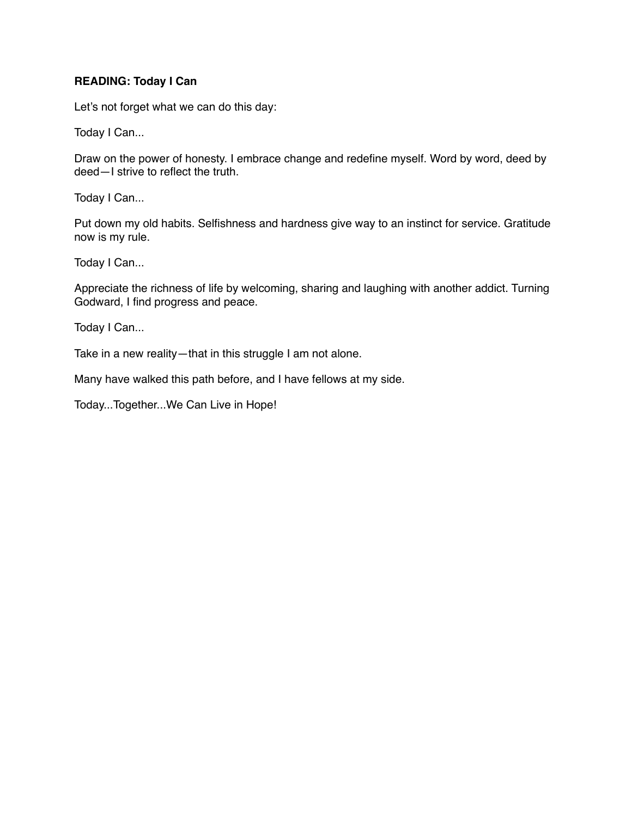### **READING: Today I Can**

Let's not forget what we can do this day:

Today I Can...

Draw on the power of honesty. I embrace change and redefine myself. Word by word, deed by deed—I strive to reflect the truth.

Today I Can...

Put down my old habits. Selfishness and hardness give way to an instinct for service. Gratitude now is my rule.

Today I Can...

Appreciate the richness of life by welcoming, sharing and laughing with another addict. Turning Godward, I find progress and peace.

Today I Can...

Take in a new reality—that in this struggle I am not alone.

Many have walked this path before, and I have fellows at my side.

Today...Together...We Can Live in Hope!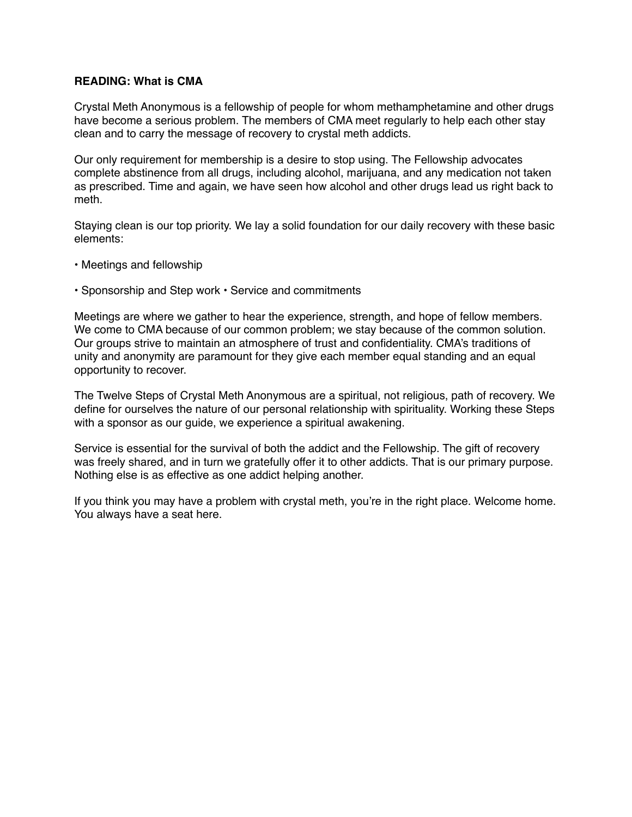### **READING: What is CMA**

Crystal Meth Anonymous is a fellowship of people for whom methamphetamine and other drugs have become a serious problem. The members of CMA meet regularly to help each other stay clean and to carry the message of recovery to crystal meth addicts.

Our only requirement for membership is a desire to stop using. The Fellowship advocates complete abstinence from all drugs, including alcohol, marijuana, and any medication not taken as prescribed. Time and again, we have seen how alcohol and other drugs lead us right back to meth.

Staying clean is our top priority. We lay a solid foundation for our daily recovery with these basic elements:

- Meetings and fellowship
- Sponsorship and Step work Service and commitments

Meetings are where we gather to hear the experience, strength, and hope of fellow members. We come to CMA because of our common problem; we stay because of the common solution. Our groups strive to maintain an atmosphere of trust and confidentiality. CMA's traditions of unity and anonymity are paramount for they give each member equal standing and an equal opportunity to recover.

The Twelve Steps of Crystal Meth Anonymous are a spiritual, not religious, path of recovery. We define for ourselves the nature of our personal relationship with spirituality. Working these Steps with a sponsor as our quide, we experience a spiritual awakening.

Service is essential for the survival of both the addict and the Fellowship. The gift of recovery was freely shared, and in turn we gratefully offer it to other addicts. That is our primary purpose. Nothing else is as effective as one addict helping another.

If you think you may have a problem with crystal meth, you're in the right place. Welcome home. You always have a seat here.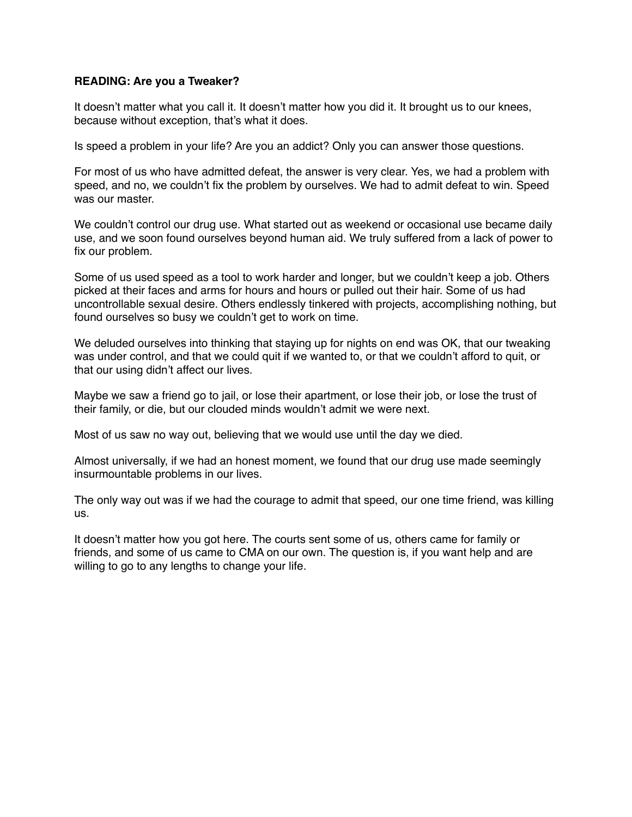### **READING: Are you a Tweaker?**

It doesn't matter what you call it. It doesn't matter how you did it. It brought us to our knees, because without exception, that's what it does.

Is speed a problem in your life? Are you an addict? Only you can answer those questions.

For most of us who have admitted defeat, the answer is very clear. Yes, we had a problem with speed, and no, we couldn't fix the problem by ourselves. We had to admit defeat to win. Speed was our master.

We couldn't control our drug use. What started out as weekend or occasional use became daily use, and we soon found ourselves beyond human aid. We truly suffered from a lack of power to fix our problem.

Some of us used speed as a tool to work harder and longer, but we couldn't keep a job. Others picked at their faces and arms for hours and hours or pulled out their hair. Some of us had uncontrollable sexual desire. Others endlessly tinkered with projects, accomplishing nothing, but found ourselves so busy we couldn't get to work on time.

We deluded ourselves into thinking that staying up for nights on end was OK, that our tweaking was under control, and that we could quit if we wanted to, or that we couldn't afford to quit, or that our using didn't affect our lives.

Maybe we saw a friend go to jail, or lose their apartment, or lose their job, or lose the trust of their family, or die, but our clouded minds wouldn't admit we were next.

Most of us saw no way out, believing that we would use until the day we died.

Almost universally, if we had an honest moment, we found that our drug use made seemingly insurmountable problems in our lives.

The only way out was if we had the courage to admit that speed, our one time friend, was killing us.

It doesn't matter how you got here. The courts sent some of us, others came for family or friends, and some of us came to CMA on our own. The question is, if you want help and are willing to go to any lengths to change your life.